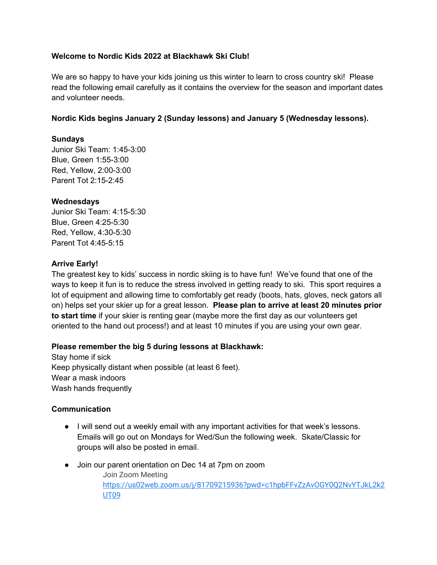### **Welcome to Nordic Kids 2022 at Blackhawk Ski Club!**

We are so happy to have your kids joining us this winter to learn to cross country ski! Please read the following email carefully as it contains the overview for the season and important dates and volunteer needs.

### **Nordic Kids begins January 2 (Sunday lessons) and January 5 (Wednesday lessons).**

### **Sundays**

Junior Ski Team: 1:45-3:00 Blue, Green 1:55-3:00 Red, Yellow, 2:00-3:00 Parent Tot 2:15-2:45

### **Wednesdays**

Junior Ski Team: 4:15-5:30 Blue, Green 4:25-5:30 Red, Yellow, 4:30-5:30 Parent Tot 4:45-5:15

### **Arrive Early!**

The greatest key to kids' success in nordic skiing is to have fun! We've found that one of the ways to keep it fun is to reduce the stress involved in getting ready to ski. This sport requires a lot of equipment and allowing time to comfortably get ready (boots, hats, gloves, neck gators all on) helps set your skier up for a great lesson. **Please plan to arrive at least 20 minutes prior to start time** if your skier is renting gear (maybe more the first day as our volunteers get oriented to the hand out process!) and at least 10 minutes if you are using your own gear.

### **Please remember the big 5 during lessons at Blackhawk:**

Stay home if sick Keep physically distant when possible (at least 6 feet). Wear a mask indoors Wash hands frequently

### **Communication**

- I will send out a weekly email with any important activities for that week's lessons. Emails will go out on Mondays for Wed/Sun the following week. Skate/Classic for groups will also be posted in email.
- Join our parent orientation on Dec 14 at 7pm on zoom Join Zoom Meeting https://us02web.zoom.us/j/81709215936?pwd=c1hpbFFvZzAvOGY0Q2NvYTJkL2k2 UT09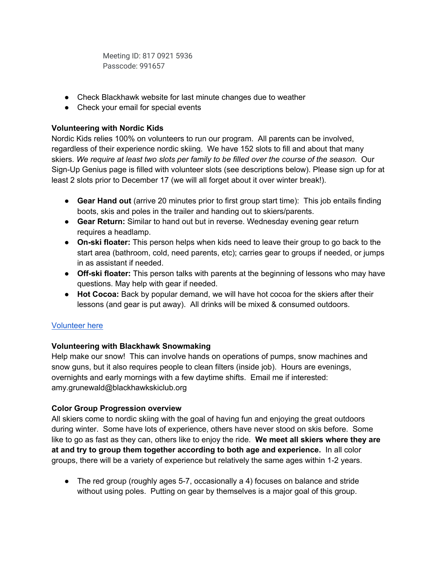Meeting ID: 817 0921 5936 Passcode: 991657

- Check Blackhawk website for last minute changes due to weather
- Check your email for special events

## **Volunteering with Nordic Kids**

Nordic Kids relies 100% on volunteers to run our program. All parents can be involved, regardless of their experience nordic skiing. We have 152 slots to fill and about that many skiers. *We require at least two slots per family to be filled over the course of the season.* Our Sign-Up Genius page is filled with volunteer slots (see descriptions below). Please sign up for at least 2 slots prior to December 17 (we will all forget about it over winter break!).

- **Gear Hand out** (arrive 20 minutes prior to first group start time): This job entails finding boots, skis and poles in the trailer and handing out to skiers/parents.
- **Gear Return:** Similar to hand out but in reverse. Wednesday evening gear return requires a headlamp.
- **On-ski floater:** This person helps when kids need to leave their group to go back to the start area (bathroom, cold, need parents, etc); carries gear to groups if needed, or jumps in as assistant if needed.
- **Off-ski floater:** This person talks with parents at the beginning of lessons who may have questions. May help with gear if needed.
- **Hot Cocoa:** Back by popular demand, we will have hot cocoa for the skiers after their lessons (and gear is put away). All drinks will be mixed & consumed outdoors.

# Volunteer here

# **Volunteering with Blackhawk Snowmaking**

Help make our snow! This can involve hands on operations of pumps, snow machines and snow guns, but it also requires people to clean filters (inside job). Hours are evenings, overnights and early mornings with a few daytime shifts. Email me if interested: amy.grunewald@blackhawkskiclub.org

# **Color Group Progression overview**

All skiers come to nordic skiing with the goal of having fun and enjoying the great outdoors during winter. Some have lots of experience, others have never stood on skis before. Some like to go as fast as they can, others like to enjoy the ride. **We meet all skiers where they are at and try to group them together according to both age and experience.** In all color groups, there will be a variety of experience but relatively the same ages within 1-2 years.

• The red group (roughly ages 5-7, occasionally a 4) focuses on balance and stride without using poles. Putting on gear by themselves is a major goal of this group.